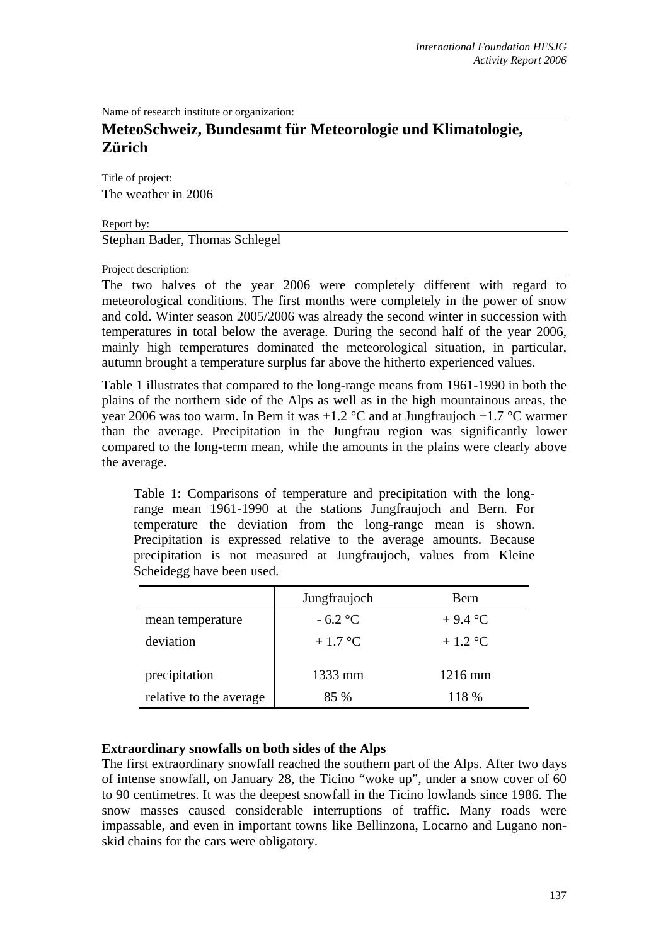Name of research institute or organization:

# **MeteoSchweiz, Bundesamt für Meteorologie und Klimatologie, Zürich**

Title of project:

The weather in 2006

Report by:

Stephan Bader, Thomas Schlegel

#### Project description:

The two halves of the year 2006 were completely different with regard to meteorological conditions. The first months were completely in the power of snow and cold. Winter season 2005/2006 was already the second winter in succession with temperatures in total below the average. During the second half of the year 2006, mainly high temperatures dominated the meteorological situation, in particular, autumn brought a temperature surplus far above the hitherto experienced values.

Table 1 illustrates that compared to the long-range means from 1961-1990 in both the plains of the northern side of the Alps as well as in the high mountainous areas, the year 2006 was too warm. In Bern it was  $+1.2$  °C and at Jungfraujoch  $+1.7$  °C warmer than the average. Precipitation in the Jungfrau region was significantly lower compared to the long-term mean, while the amounts in the plains were clearly above the average.

Table 1: Comparisons of temperature and precipitation with the longrange mean 1961-1990 at the stations Jungfraujoch and Bern. For temperature the deviation from the long-range mean is shown. Precipitation is expressed relative to the average amounts. Because precipitation is not measured at Jungfraujoch, values from Kleine Scheidegg have been used.

|                         | Jungfraujoch | Bern              |
|-------------------------|--------------|-------------------|
| mean temperature        | $-6.2$ °C    | $+9.4$ °C         |
| deviation               | $+1.7$ °C    | $+1.2$ °C         |
| precipitation           | 1333 mm      | $1216 \text{ mm}$ |
| relative to the average | $85\%$       | 118 %             |

#### **Extraordinary snowfalls on both sides of the Alps**

The first extraordinary snowfall reached the southern part of the Alps. After two days of intense snowfall, on January 28, the Ticino "woke up", under a snow cover of 60 to 90 centimetres. It was the deepest snowfall in the Ticino lowlands since 1986. The snow masses caused considerable interruptions of traffic. Many roads were impassable, and even in important towns like Bellinzona, Locarno and Lugano nonskid chains for the cars were obligatory.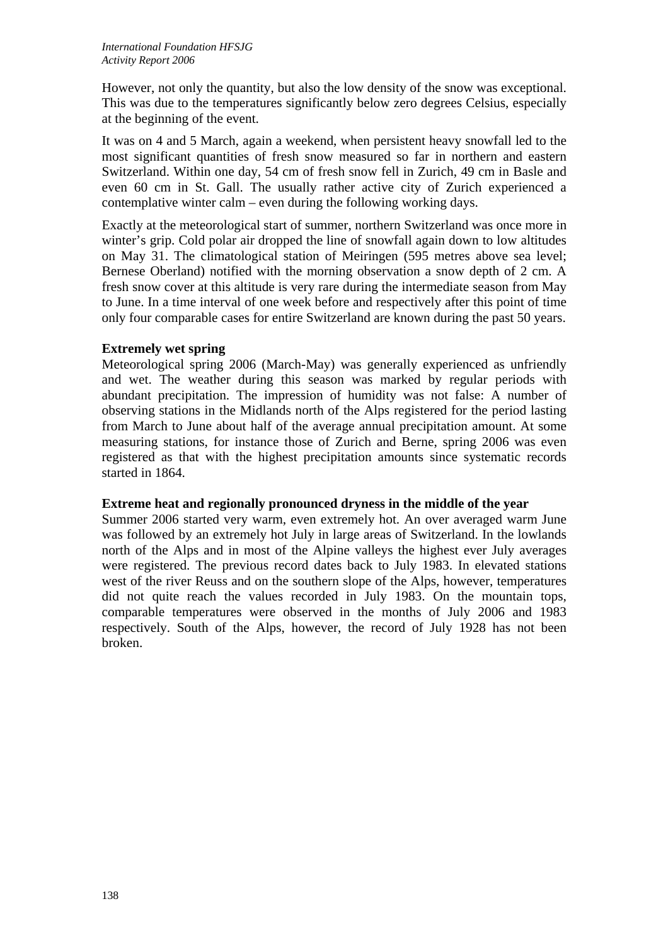However, not only the quantity, but also the low density of the snow was exceptional. This was due to the temperatures significantly below zero degrees Celsius, especially at the beginning of the event.

It was on 4 and 5 March, again a weekend, when persistent heavy snowfall led to the most significant quantities of fresh snow measured so far in northern and eastern Switzerland. Within one day, 54 cm of fresh snow fell in Zurich, 49 cm in Basle and even 60 cm in St. Gall. The usually rather active city of Zurich experienced a contemplative winter calm – even during the following working days.

Exactly at the meteorological start of summer, northern Switzerland was once more in winter's grip. Cold polar air dropped the line of snowfall again down to low altitudes on May 31. The climatological station of Meiringen (595 metres above sea level; Bernese Oberland) notified with the morning observation a snow depth of 2 cm. A fresh snow cover at this altitude is very rare during the intermediate season from May to June. In a time interval of one week before and respectively after this point of time only four comparable cases for entire Switzerland are known during the past 50 years.

## **Extremely wet spring**

Meteorological spring 2006 (March-May) was generally experienced as unfriendly and wet. The weather during this season was marked by regular periods with abundant precipitation. The impression of humidity was not false: A number of observing stations in the Midlands north of the Alps registered for the period lasting from March to June about half of the average annual precipitation amount. At some measuring stations, for instance those of Zurich and Berne, spring 2006 was even registered as that with the highest precipitation amounts since systematic records started in 1864.

## **Extreme heat and regionally pronounced dryness in the middle of the year**

Summer 2006 started very warm, even extremely hot. An over averaged warm June was followed by an extremely hot July in large areas of Switzerland. In the lowlands north of the Alps and in most of the Alpine valleys the highest ever July averages were registered. The previous record dates back to July 1983. In elevated stations west of the river Reuss and on the southern slope of the Alps, however, temperatures did not quite reach the values recorded in July 1983. On the mountain tops, comparable temperatures were observed in the months of July 2006 and 1983 respectively. South of the Alps, however, the record of July 1928 has not been broken.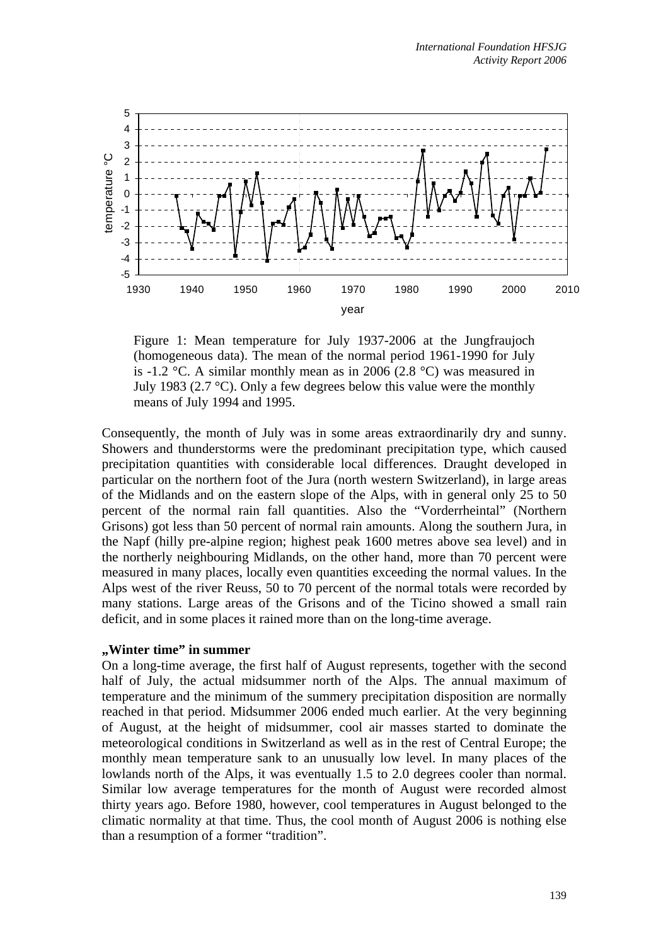

Figure 1: Mean temperature for July 1937-2006 at the Jungfraujoch (homogeneous data). The mean of the normal period 1961-1990 for July is -1.2 °C. A similar monthly mean as in 2006 (2.8 °C) was measured in July 1983 (2.7  $\degree$ C). Only a few degrees below this value were the monthly means of July 1994 and 1995.

Consequently, the month of July was in some areas extraordinarily dry and sunny. Showers and thunderstorms were the predominant precipitation type, which caused precipitation quantities with considerable local differences. Draught developed in particular on the northern foot of the Jura (north western Switzerland), in large areas of the Midlands and on the eastern slope of the Alps, with in general only 25 to 50 percent of the normal rain fall quantities. Also the "Vorderrheintal" (Northern Grisons) got less than 50 percent of normal rain amounts. Along the southern Jura, in the Napf (hilly pre-alpine region; highest peak 1600 metres above sea level) and in the northerly neighbouring Midlands, on the other hand, more than 70 percent were measured in many places, locally even quantities exceeding the normal values. In the Alps west of the river Reuss, 50 to 70 percent of the normal totals were recorded by many stations. Large areas of the Grisons and of the Ticino showed a small rain deficit, and in some places it rained more than on the long-time average.

#### **"Winter time" in summer**

On a long-time average, the first half of August represents, together with the second half of July, the actual midsummer north of the Alps. The annual maximum of temperature and the minimum of the summery precipitation disposition are normally reached in that period. Midsummer 2006 ended much earlier. At the very beginning of August, at the height of midsummer, cool air masses started to dominate the meteorological conditions in Switzerland as well as in the rest of Central Europe; the monthly mean temperature sank to an unusually low level. In many places of the lowlands north of the Alps, it was eventually 1.5 to 2.0 degrees cooler than normal. Similar low average temperatures for the month of August were recorded almost thirty years ago. Before 1980, however, cool temperatures in August belonged to the climatic normality at that time. Thus, the cool month of August 2006 is nothing else than a resumption of a former "tradition".